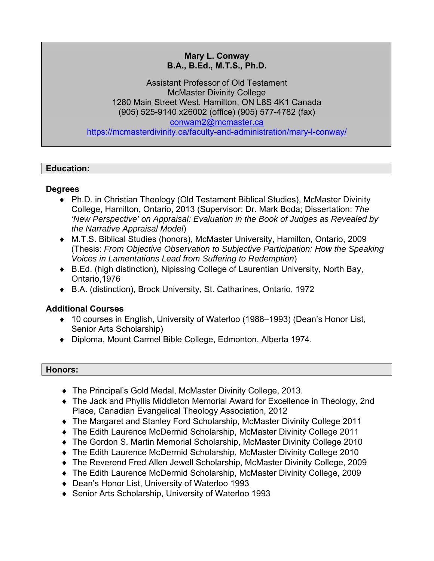# **Mary L. Conway B.A., B.Ed., M.T.S., Ph.D.**

Assistant Professor of Old Testament McMaster Divinity College 1280 Main Street West, Hamilton, ON L8S 4K1 Canada (905) 525-9140 x26002 (office) (905) 577-4782 (fax) conwam2@mcmaster.ca https://mcmasterdivinity.ca/faculty-and-administration/mary-l-conway/

# **Education:**

# **Degrees**

- ◆ Ph.D. in Christian Theology (Old Testament Biblical Studies), McMaster Divinity College, Hamilton, Ontario, 2013 (Supervisor: Dr. Mark Boda; Dissertation: *The 'New Perspective' on Appraisal: Evaluation in the Book of Judges as Revealed by the Narrative Appraisal Model*)
- M.T.S. Biblical Studies (honors), McMaster University, Hamilton, Ontario, 2009 (Thesis: *From Objective Observation to Subjective Participation: How the Speaking Voices in Lamentations Lead from Suffering to Redemption*)
- B.Ed. (high distinction), Nipissing College of Laurentian University, North Bay, Ontario,1976
- B.A. (distinction), Brock University, St. Catharines, Ontario, 1972

# **Additional Courses**

- ◆ 10 courses in English, University of Waterloo (1988–1993) (Dean's Honor List, Senior Arts Scholarship)
- Diploma, Mount Carmel Bible College, Edmonton, Alberta 1974.

### **Honors:**

- The Principal's Gold Medal, McMaster Divinity College, 2013.
- The Jack and Phyllis Middleton Memorial Award for Excellence in Theology, 2nd Place, Canadian Evangelical Theology Association, 2012
- The Margaret and Stanley Ford Scholarship, McMaster Divinity College 2011
- ◆ The Edith Laurence McDermid Scholarship, McMaster Divinity College 2011
- The Gordon S. Martin Memorial Scholarship, McMaster Divinity College 2010
- The Edith Laurence McDermid Scholarship, McMaster Divinity College 2010
- The Reverend Fred Allen Jewell Scholarship, McMaster Divinity College, 2009
- The Edith Laurence McDermid Scholarship, McMaster Divinity College, 2009
- ◆ Dean's Honor List, University of Waterloo 1993
- ◆ Senior Arts Scholarship, University of Waterloo 1993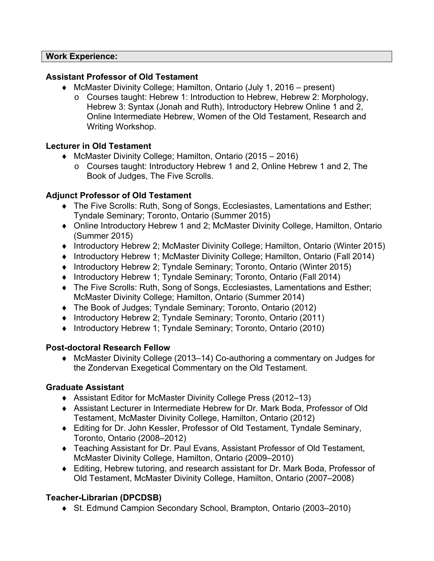### **Work Experience:**

### **Assistant Professor of Old Testament**

- McMaster Divinity College; Hamilton, Ontario (July 1, 2016 present)
	- o Courses taught: Hebrew 1: Introduction to Hebrew, Hebrew 2: Morphology, Hebrew 3: Syntax (Jonah and Ruth), Introductory Hebrew Online 1 and 2, Online Intermediate Hebrew, Women of the Old Testament, Research and Writing Workshop.

# **Lecturer in Old Testament**

- ◆ McMaster Divinity College: Hamilton, Ontario (2015 2016)
	- o Courses taught: Introductory Hebrew 1 and 2, Online Hebrew 1 and 2, The Book of Judges, The Five Scrolls.

# **Adjunct Professor of Old Testament**

- The Five Scrolls: Ruth, Song of Songs, Ecclesiastes, Lamentations and Esther; Tyndale Seminary; Toronto, Ontario (Summer 2015)
- Online Introductory Hebrew 1 and 2; McMaster Divinity College, Hamilton, Ontario (Summer 2015)
- Introductory Hebrew 2; McMaster Divinity College; Hamilton, Ontario (Winter 2015)
- Introductory Hebrew 1; McMaster Divinity College; Hamilton, Ontario (Fall 2014)
- ◆ Introductory Hebrew 2; Tyndale Seminary; Toronto, Ontario (Winter 2015)
- ◆ Introductory Hebrew 1; Tyndale Seminary; Toronto, Ontario (Fall 2014)
- The Five Scrolls: Ruth, Song of Songs, Ecclesiastes, Lamentations and Esther; McMaster Divinity College; Hamilton, Ontario (Summer 2014)
- The Book of Judges; Tyndale Seminary; Toronto, Ontario (2012)
- Introductory Hebrew 2; Tyndale Seminary; Toronto, Ontario (2011)
- ◆ Introductory Hebrew 1; Tyndale Seminary; Toronto, Ontario (2010)

# **Post-doctoral Research Fellow**

 McMaster Divinity College (2013–14) Co-authoring a commentary on Judges for the Zondervan Exegetical Commentary on the Old Testament.

### **Graduate Assistant**

- Assistant Editor for McMaster Divinity College Press (2012–13)
- Assistant Lecturer in Intermediate Hebrew for Dr. Mark Boda, Professor of Old Testament, McMaster Divinity College, Hamilton, Ontario (2012)
- Editing for Dr. John Kessler, Professor of Old Testament, Tyndale Seminary, Toronto, Ontario (2008–2012)
- Teaching Assistant for Dr. Paul Evans, Assistant Professor of Old Testament, McMaster Divinity College, Hamilton, Ontario (2009–2010)
- Editing, Hebrew tutoring, and research assistant for Dr. Mark Boda, Professor of Old Testament, McMaster Divinity College, Hamilton, Ontario (2007–2008)

# **Teacher-Librarian (DPCDSB)**

◆ St. Edmund Campion Secondary School, Brampton, Ontario (2003–2010)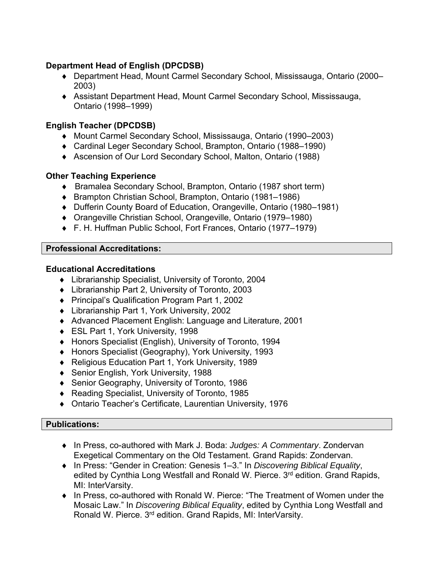# **Department Head of English (DPCDSB)**

- ◆ Department Head, Mount Carmel Secondary School, Mississauga, Ontario (2000– 2003)
- ◆ Assistant Department Head, Mount Carmel Secondary School, Mississauga, Ontario (1998–1999)

# **English Teacher (DPCDSB)**

- Mount Carmel Secondary School, Mississauga, Ontario (1990–2003)
- Cardinal Leger Secondary School, Brampton, Ontario (1988–1990)
- Ascension of Our Lord Secondary School, Malton, Ontario (1988)

# **Other Teaching Experience**

- Bramalea Secondary School, Brampton, Ontario (1987 short term)
- ◆ Brampton Christian School, Brampton, Ontario (1981–1986)
- ◆ Dufferin County Board of Education, Orangeville, Ontario (1980–1981)
- Orangeville Christian School, Orangeville, Ontario (1979–1980)
- F. H. Huffman Public School, Fort Frances, Ontario (1977–1979)

# **Professional Accreditations:**

### **Educational Accreditations**

- Librarianship Specialist, University of Toronto, 2004
- Librarianship Part 2, University of Toronto, 2003
- ◆ Principal's Qualification Program Part 1, 2002
- Librarianship Part 1, York University, 2002
- Advanced Placement English: Language and Literature, 2001
- ◆ ESL Part 1, York University, 1998
- ◆ Honors Specialist (English), University of Toronto, 1994
- ◆ Honors Specialist (Geography), York University, 1993
- ◆ Religious Education Part 1, York University, 1989
- ◆ Senior English, York University, 1988
- ◆ Senior Geography, University of Toronto, 1986
- Reading Specialist, University of Toronto, 1985
- Ontario Teacher's Certificate, Laurentian University, 1976

### **Publications:**

- In Press, co-authored with Mark J. Boda: *Judges: A Commentary*. Zondervan Exegetical Commentary on the Old Testament. Grand Rapids: Zondervan.
- In Press: "Gender in Creation: Genesis 1–3." In *Discovering Biblical Equality*, edited by Cynthia Long Westfall and Ronald W. Pierce. 3<sup>rd</sup> edition. Grand Rapids, MI: InterVarsity.
- In Press, co-authored with Ronald W. Pierce: "The Treatment of Women under the Mosaic Law." In *Discovering Biblical Equality*, edited by Cynthia Long Westfall and Ronald W. Pierce. 3<sup>rd</sup> edition. Grand Rapids, MI: InterVarsity.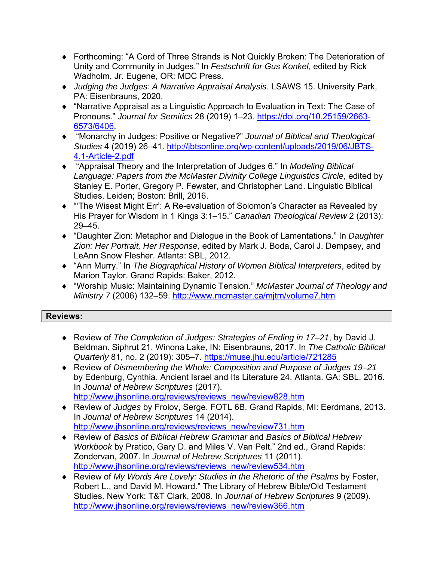- Forthcoming: "A Cord of Three Strands is Not Quickly Broken: The Deterioration of Unity and Community in Judges." In *Festschrift for Gus Konkel*, edited by Rick Wadholm, Jr. Eugene, OR: MDC Press.
- *Judging the Judges: A Narrative Appraisal Analysis*. LSAWS 15. University Park, PA: Eisenbrauns, 2020.
- "Narrative Appraisal as a Linguistic Approach to Evaluation in Text: The Case of Pronouns." *Journal for Semitics* 28 (2019) 1–23. https://doi.org/10.25159/2663- 6573/6406.
- "Monarchy in Judges: Positive or Negative?" *Journal of Biblical and Theological Studies* 4 (2019) 26–41. http://jbtsonline.org/wp-content/uploads/2019/06/JBTS-4.1-Article-2.pdf
- "Appraisal Theory and the Interpretation of Judges 6." In *Modeling Biblical Language: Papers from the McMaster Divinity College Linguistics Circle*, edited by Stanley E. Porter, Gregory P. Fewster, and Christopher Land. Linguistic Biblical Studies. Leiden; Boston: Brill, 2016.
- ◆ "The Wisest Might Err': A Re-evaluation of Solomon's Character as Revealed by His Prayer for Wisdom in 1 Kings 3:1–15." *Canadian Theological Review* 2 (2013): 29–45.
- "Daughter Zion: Metaphor and Dialogue in the Book of Lamentations." In *Daughter Zion: Her Portrait, Her Response,* edited by Mark J. Boda, Carol J. Dempsey, and LeAnn Snow Flesher. Atlanta: SBL, 2012.
- "Ann Murry." In *The Biographical History of Women Biblical Interpreters*, edited by Marion Taylor. Grand Rapids: Baker, 2012.
- "Worship Music: Maintaining Dynamic Tension." *McMaster Journal of Theology and Ministry 7* (2006) 132–59. http://www.mcmaster.ca/mjtm/volume7.htm

### **Reviews:**

- Review of *The Completion of Judges: Strategies of Ending in 17–21*, by David J. Beldman. Siphrut 21. Winona Lake, IN: Eisenbrauns, 2017. In *The Catholic Biblical Quarterly* 81, no. 2 (2019): 305–7. https://muse.jhu.edu/article/721285
- Review of *Dismembering the Whole: Composition and Purpose of Judges 19–21* by Edenburg, Cynthia. Ancient Israel and Its Literature 24. Atlanta. GA: SBL, 2016. In *Journal of Hebrew Scriptures* (2017). http://www.jhsonline.org/reviews/reviews\_new/review828.htm
- Review of *Judges* by Frolov, Serge. FOTL 6B. Grand Rapids, MI: Eerdmans, 2013. In *Journal of Hebrew Scriptures* 14 (2014). http://www.jhsonline.org/reviews/reviews\_new/review731.htm
- Review of *Basics of Biblical Hebrew Grammar* and *Basics of Biblical Hebrew Workbook* by Pratico, Gary D. and Miles V. Van Pelt." 2nd ed., Grand Rapids: Zondervan, 2007. In *Journal of Hebrew Scriptures* 11 (2011). http://www.jhsonline.org/reviews/reviews\_new/review534.htm
- ◆ Review of *My Words Are Lovely: Studies in the Rhetoric of the Psalms* by Foster, Robert L., and David M. Howard." The Library of Hebrew Bible/Old Testament Studies. New York: T&T Clark, 2008. In *Journal of Hebrew Scriptures* 9 (2009). http://www.jhsonline.org/reviews/reviews\_new/review366.htm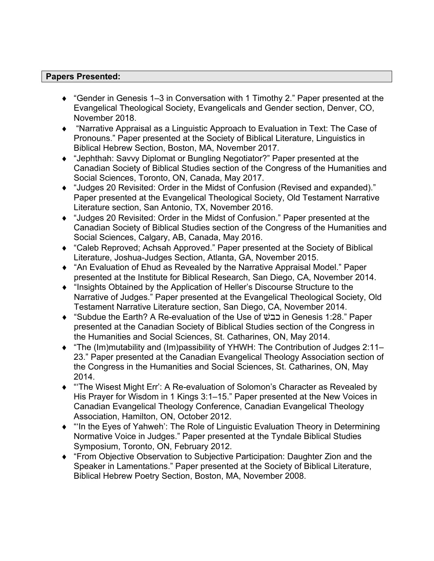### **Papers Presented:**

- "Gender in Genesis 1–3 in Conversation with 1 Timothy 2." Paper presented at the Evangelical Theological Society, Evangelicals and Gender section, Denver, CO, November 2018.
- "Narrative Appraisal as a Linguistic Approach to Evaluation in Text: The Case of Pronouns." Paper presented at the Society of Biblical Literature, Linguistics in Biblical Hebrew Section, Boston, MA, November 2017.
- "Jephthah: Savvy Diplomat or Bungling Negotiator?" Paper presented at the Canadian Society of Biblical Studies section of the Congress of the Humanities and Social Sciences, Toronto, ON, Canada, May 2017.
- "Judges 20 Revisited: Order in the Midst of Confusion (Revised and expanded)." Paper presented at the Evangelical Theological Society, Old Testament Narrative Literature section, San Antonio, TX, November 2016.
- "Judges 20 Revisited: Order in the Midst of Confusion." Paper presented at the Canadian Society of Biblical Studies section of the Congress of the Humanities and Social Sciences, Calgary, AB, Canada, May 2016.
- "Caleb Reproved; Achsah Approved." Paper presented at the Society of Biblical Literature, Joshua-Judges Section, Atlanta, GA, November 2015.
- "An Evaluation of Ehud as Revealed by the Narrative Appraisal Model." Paper presented at the Institute for Biblical Research, San Diego, CA, November 2014.
- "Insights Obtained by the Application of Heller's Discourse Structure to the Narrative of Judges." Paper presented at the Evangelical Theological Society, Old Testament Narrative Literature section, San Diego, CA, November 2014.
- "Subdue the Earth? A Re-evaluation of the Use of כבשׁ in Genesis 1:28." Paper presented at the Canadian Society of Biblical Studies section of the Congress in the Humanities and Social Sciences, St. Catharines, ON, May 2014.
- "The (Im)mutability and (Im)passibility of YHWH: The Contribution of Judges 2:11– 23." Paper presented at the Canadian Evangelical Theology Association section of the Congress in the Humanities and Social Sciences, St. Catharines, ON, May 2014.
- ◆ "The Wisest Might Err': A Re-evaluation of Solomon's Character as Revealed by His Prayer for Wisdom in 1 Kings 3:1–15." Paper presented at the New Voices in Canadian Evangelical Theology Conference, Canadian Evangelical Theology Association, Hamilton, ON, October 2012.
- ◆ "In the Eyes of Yahweh': The Role of Linguistic Evaluation Theory in Determining Normative Voice in Judges." Paper presented at the Tyndale Biblical Studies Symposium, Toronto, ON, February 2012.
- "From Objective Observation to Subjective Participation: Daughter Zion and the Speaker in Lamentations." Paper presented at the Society of Biblical Literature, Biblical Hebrew Poetry Section, Boston, MA, November 2008.